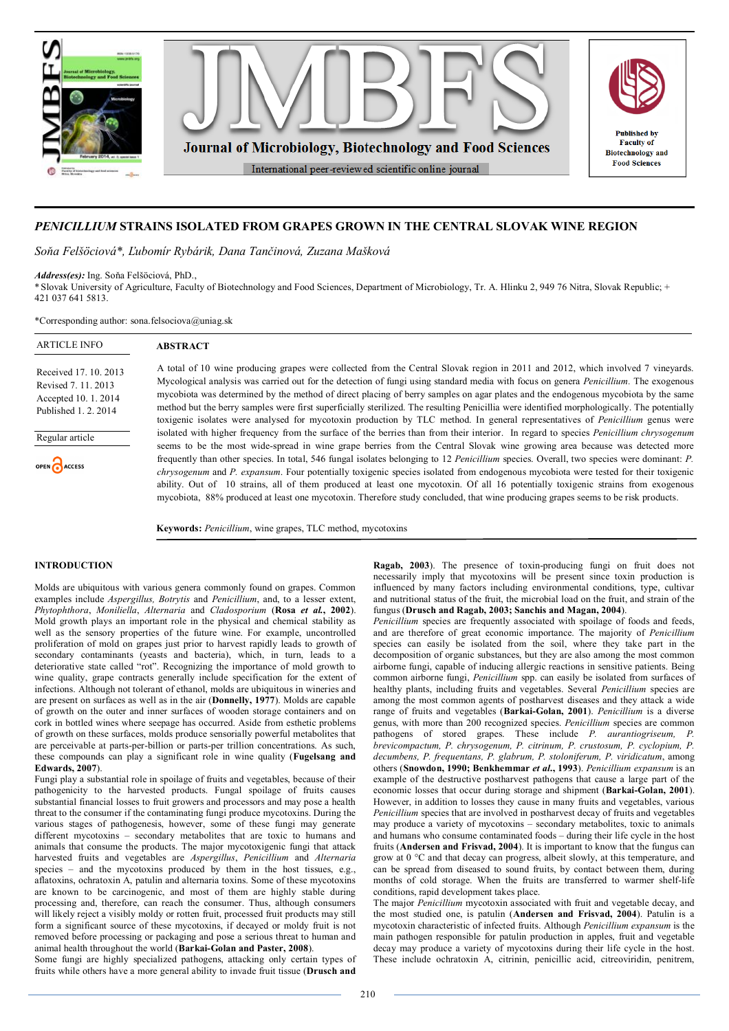

# *PENICILLIUM* **STRAINS ISOLATED FROM GRAPES GROWN IN THE CENTRAL SLOVAK WINE REGION**

*Soňa Felšöciová\*, Ľubomír Rybárik, Dana Tančinová, Zuzana Mašková*

*Address(es):* Ing. Soňa Felšöciová, PhD.,

\*Slovak University of Agriculture, Faculty of Biotechnology and Food Sciences, Department of Microbiology, Tr. A. Hlinku 2, 949 76 Nitra, Slovak Republic; + 421 037 641 5813.

\*Corresponding author: sona.felsociova@uniag.sk

| <b>ARTICLE INFO</b>                                                                        | <b>ABSTRACT</b>                                                                                                                                                                                                                                                                                                                                                                                                                                                                                                                                                                    |
|--------------------------------------------------------------------------------------------|------------------------------------------------------------------------------------------------------------------------------------------------------------------------------------------------------------------------------------------------------------------------------------------------------------------------------------------------------------------------------------------------------------------------------------------------------------------------------------------------------------------------------------------------------------------------------------|
| Received 17, 10, 2013<br>Revised 7, 11, 2013<br>Accepted 10.1.2014<br>Published 1, 2, 2014 | A total of 10 wine producing grapes were collected from the Central Slovak region in 2011 and 2012, which involved 7 vineyards.<br>Mycological analysis was carried out for the detection of fungi using standard media with focus on genera Penicillium. The exogenous<br>mycobiota was determined by the method of direct placing of berry samples on agar plates and the endogenous mycobiota by the same<br>method but the berry samples were first superficially sterilized. The resulting Penicillia were identified morphologically. The potentially                        |
| Regular article                                                                            | toxigenic isolates were analysed for mycotoxin production by TLC method. In general representatives of <i>Penicillium</i> genus were<br>isolated with higher frequency from the surface of the berries than from their interior. In regard to species Penicillium chrysogenum<br>seems to be the most wide-spread in wine grape berries from the Central Slovak wine growing area because was detected more                                                                                                                                                                        |
| OPEN ACCESS                                                                                | frequently than other species. In total, 546 fungal isolates belonging to 12 <i>Penicillium</i> species. Overall, two species were dominant: <i>P.</i><br><i>chrysogenum</i> and <i>P. expansum</i> . Four potentially toxigenic species isolated from endogenous mycobiota were tested for their toxigenic<br>ability. Out of 10 strains, all of them produced at least one mycotoxin. Of all 16 potentially toxigenic strains from exogenous<br>mycobiota, 88% produced at least one mycotoxin. Therefore study concluded, that wine producing grapes seems to be risk products. |

**Keywords:** *Penicillium*, wine grapes, TLC method, mycotoxins

## **INTRODUCTION**

Molds are ubiquitous with various genera commonly found on grapes. Common examples include *Aspergillus, Botrytis* and *Penicillium*, and, to a lesser extent, *Phytophthora*, *Moniliella*, *Alternaria* and *Cladosporium* (**Rosa** *et al.***, 2002**). Mold growth plays an important role in the physical and chemical stability as well as the sensory properties of the future wine. For example, uncontrolled proliferation of mold on grapes just prior to harvest rapidly leads to growth of secondary contaminants (yeasts and bacteria), which, in turn, leads to a deteriorative state called "rot". Recognizing the importance of mold growth to wine quality, grape contracts generally include specification for the extent of infections. Although not tolerant of ethanol, molds are ubiquitous in wineries and are present on surfaces as well as in the air (**Donnelly, 1977**). Molds are capable of growth on the outer and inner surfaces of wooden storage containers and on cork in bottled wines where seepage has occurred. Aside from esthetic problems of growth on these surfaces, molds produce sensorially powerful metabolites that are perceivable at parts-per-billion or parts-per trillion concentrations. As such, these compounds can play a significant role in wine quality (**Fugelsang and Edwards, 2007**).

Fungi play a substantial role in spoilage of fruits and vegetables, because of their pathogenicity to the harvested products. Fungal spoilage of fruits causes substantial financial losses to fruit growers and processors and may pose a health threat to the consumer if the contaminating fungi produce mycotoxins. During the various stages of pathogenesis, however, some of these fungi may generate different mycotoxins – secondary metabolites that are toxic to humans and animals that consume the products. The major mycotoxigenic fungi that attack harvested fruits and vegetables are *Aspergillus*, *Penicillium* and *Alternaria* species – and the mycotoxins produced by them in the host tissues, e.g., aflatoxins, ochratoxin A, patulin and alternaria toxins. Some of these mycotoxins are known to be carcinogenic, and most of them are highly stable during processing and, therefore, can reach the consumer. Thus, although consumers will likely reject a visibly moldy or rotten fruit, processed fruit products may still form a significant source of these mycotoxins, if decayed or moldy fruit is not removed before processing or packaging and pose a serious threat to human and animal health throughout the world (**Barkai-Golan and Paster, 2008**).

Some fungi are highly specialized pathogens, attacking only certain types of fruits while others have a more general ability to invade fruit tissue (**Drusch and** 

**Ragab, 2003**). The presence of toxin-producing fungi on fruit does not necessarily imply that mycotoxins will be present since toxin production is influenced by many factors including environmental conditions, type, cultivar and nutritional status of the fruit, the microbial load on the fruit, and strain of the fungus (**Drusch and Ragab, 2003; Sanchis and Magan, 2004**).

*Penicillium* species are frequently associated with spoilage of foods and feeds, and are therefore of great economic importance. The majority of *Penicillium* species can easily be isolated from the soil, where they take part in the decomposition of organic substances, but they are also among the most common airborne fungi, capable of inducing allergic reactions in sensitive patients. Being common airborne fungi, *Penicillium* spp. can easily be isolated from surfaces of healthy plants, including fruits and vegetables. Several *Penicillium* species are among the most common agents of postharvest diseases and they attack a wide range of fruits and vegetables (**Barkai-Golan, 2001**). *Penicillium* is a diverse genus, with more than 200 recognized species. *Penicillium* species are common pathogens of stored grapes. These include *P. aurantiogriseum, P. brevicompactum, P. chrysogenum, P. citrinum, P. crustosum, P. cyclopium, P. decumbens, P. frequentans, P. glabrum, P. stoloniferum, P. viridicatum*, among others (**Snowdon, 1990; Benkhemmar** *et al***., 1993**). *Penicillium expansum* is an example of the destructive postharvest pathogens that cause a large part of the economic losses that occur during storage and shipment (**Barkai-Golan, 2001**). However, in addition to losses they cause in many fruits and vegetables, various *Penicillium* species that are involved in postharvest decay of fruits and vegetables may produce a variety of mycotoxins – secondary metabolites, toxic to animals and humans who consume contaminated foods – during their life cycle in the host fruits (**Andersen and Frisvad, 2004**). It is important to know that the fungus can grow at 0 °C and that decay can progress, albeit slowly, at this temperature, and can be spread from diseased to sound fruits, by contact between them, during months of cold storage. When the fruits are transferred to warmer shelf-life conditions, rapid development takes place.

The major *Penicillium* mycotoxin associated with fruit and vegetable decay, and the most studied one, is patulin (**Andersen and Frisvad, 2004**). Patulin is a mycotoxin characteristic of infected fruits. Although *Penicillium expansum* is the main pathogen responsible for patulin production in apples, fruit and vegetable decay may produce a variety of mycotoxins during their life cycle in the host. These include ochratoxin A, citrinin, penicillic acid, citreoviridin, penitrem,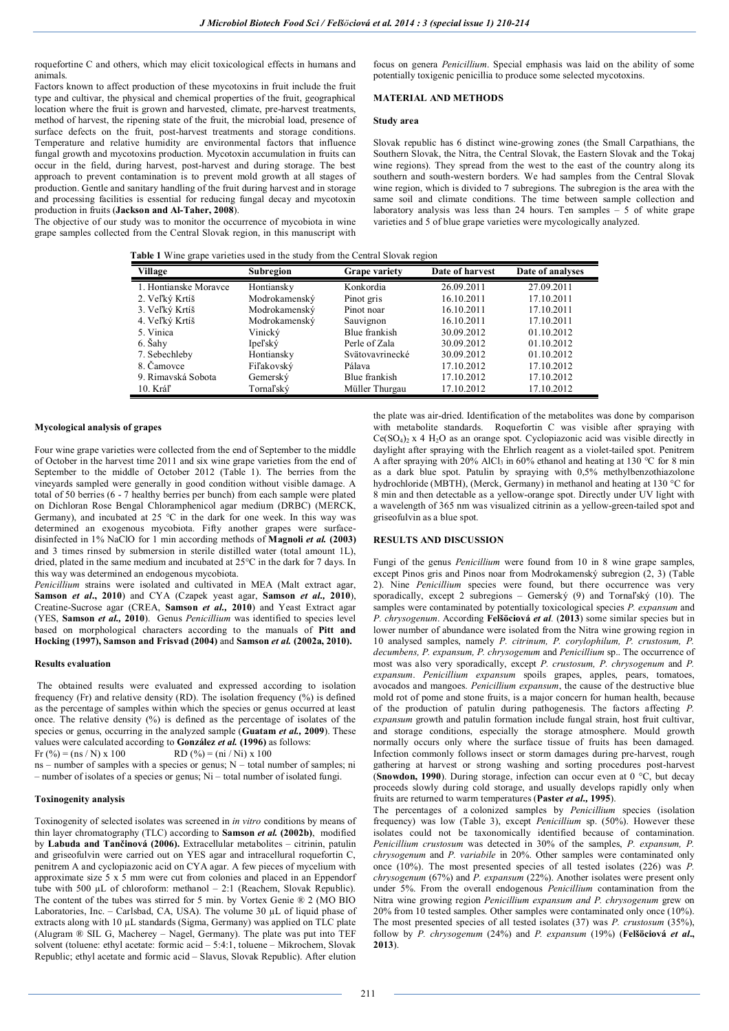roquefortine C and others, which may elicit toxicological effects in humans and animals.

Factors known to affect production of these mycotoxins in fruit include the fruit type and cultivar, the physical and chemical properties of the fruit, geographical location where the fruit is grown and harvested, climate, pre-harvest treatments, method of harvest, the ripening state of the fruit, the microbial load, presence of surface defects on the fruit, post-harvest treatments and storage conditions. Temperature and relative humidity are environmental factors that influence fungal growth and mycotoxins production. Mycotoxin accumulation in fruits can occur in the field, during harvest, post-harvest and during storage. The best approach to prevent contamination is to prevent mold growth at all stages of production. Gentle and sanitary handling of the fruit during harvest and in storage and processing facilities is essential for reducing fungal decay and mycotoxin production in fruits (**Jackson and Al-Taher, 2008**).

The objective of our study was to monitor the occurrence of mycobiota in wine grape samples collected from the Central Slovak region, in this manuscript with

focus on genera *Penicillium*. Special emphasis was laid on the ability of some potentially toxigenic penicillia to produce some selected mycotoxins.

# **MATERIAL AND METHODS**

## **Study area**

Slovak republic has 6 distinct wine-growing zones (the Small Carpathians, the Southern Slovak, the Nitra, the Central Slovak, the Eastern Slovak and the Tokaj wine regions). They spread from the west to the east of the country along its southern and south-western borders. We had samples from the Central Slovak wine region, which is divided to 7 subregions. The subregion is the area with the same soil and climate conditions. The time between sample collection and laboratory analysis was less than 24 hours. Ten samples – 5 of white grape varieties and 5 of blue grape varieties were mycologically analyzed.

**Table 1** Wine grape varieties used in the study from the Central Slovak region

| Village               | Subregion     | <b>Grape variety</b> | Date of harvest | Date of analyses |
|-----------------------|---------------|----------------------|-----------------|------------------|
| 1. Hontianske Moravce | Hontiansky    | Konkordia            | 26.09.2011      | 27.09.2011       |
| 2. Veľký Krtíš        | Modrokamenský | Pinot gris           | 16.10.2011      | 17.10.2011       |
| 3. Veľký Krtíš        | Modrokamenský | Pinot noar           | 16.10.2011      | 17.10.2011       |
| 4. Veľký Krtíš        | Modrokamenský | Sauvignon            | 16.10.2011      | 17.10.2011       |
| 5. Vinica             | Vinický       | Blue frankish        | 30.09.2012      | 01.10.2012       |
| 6. Šahy               | Ipeľský       | Perle of Zala        | 30.09.2012      | 01.10.2012       |
| 7. Sebechleby         | Hontiansky    | Svätovavrinecké      | 30.09.2012      | 01.10.2012       |
| 8. Čamovce            | Fiľakovský    | Pálava               | 17.10.2012      | 17.10.2012       |
| 9. Rimavská Sobota    | Gemerský      | Blue frankish        | 17.10.2012      | 17.10.2012       |
| 10. Kráľ              | Tornaľský     | Müller Thurgau       | 17.10.2012      | 17.10.2012       |

#### **Mycological analysis of grapes**

Four wine grape varieties were collected from the end of September to the middle of October in the harvest time 2011 and six wine grape varieties from the end of September to the middle of October 2012 (Table 1). The berries from the vineyards sampled were generally in good condition without visible damage. A total of 50 berries (6 - 7 healthy berries per bunch) from each sample were plated on Dichloran Rose Bengal Chloramphenicol agar medium (DRBC) (MERCK, Germany), and incubated at 25 °C in the dark for one week. In this way was determined an exogenous mycobiota. Fifty another grapes were surfacedisinfected in 1% NaClO for 1 min according methods of **Magnoli** *et al.* **(2003)** and 3 times rinsed by submersion in sterile distilled water (total amount 1L), dried, plated in the same medium and incubated at 25°C in the dark for 7 days. In this way was determined an endogenous mycobiota.

*Penicillium* strains were isolated and cultivated in MEA (Malt extract agar, **Samson** *et al***., 2010**) and CYA (Czapek yeast agar, **Samson** *et al.,* **2010**), Creatine-Sucrose agar (CREA, **Samson** *et al.,* **2010**) and Yeast Extract agar (YES, **Samson** *et al.,* **2010**). Genus *Penicillium* was identified to species level based on morphological characters according to the manuals of **Pitt and Hocking (1997), Samson and Frisvad (2004)** and **Samson** *et al.* **(2002a, 2010).** 

## **Results evaluation**

The obtained results were evaluated and expressed according to isolation frequency (Fr) and relative density (RD). The isolation frequency  $(%)$  is defined as the percentage of samples within which the species or genus occurred at least once. The relative density (%) is defined as the percentage of isolates of the species or genus, occurring in the analyzed sample (**Guatam** *et al.,* **2009**). These values were calculated according to **González** *et al.* **(1996)** as follows:

Fr (%) = (ns / N) x 100 RD (%) = (ni / Ni) x 100

ns – number of samples with a species or genus; N – total number of samples; ni – number of isolates of a species or genus; Ni – total number of isolated fungi.

#### **Toxinogenity analysis**

Toxinogenity of selected isolates was screened in *in vitro* conditions by means of thin layer chromatography (TLC) according to **Samson** *et al.* **(2002b)**, modified by **Labuda and Tančinová (2006).** Extracellular metabolites – citrinin, patulin and griseofulvin were carried out on YES agar and intracellural roquefortin C, penitrem A and cyclopiazonic acid on CYA agar. A few pieces of mycelium with approximate size  $5 \times 5$  mm were cut from colonies and placed in an Eppendorf tube with 500 µL of chloroform: methanol – 2:1 (Reachem, Slovak Republic). The content of the tubes was stirred for 5 min. by Vortex Genie ® 2 (MO BIO Laboratories, Inc. – Carlsbad, CA, USA). The volume 30 µL of liquid phase of extracts along with 10 µL standards (Sigma, Germany) was applied on TLC plate (Alugram ® SIL G, Macherey – Nagel, Germany). The plate was put into TEF solvent (toluene: ethyl acetate: formic acid – 5:4:1, toluene – Mikrochem, Slovak Republic; ethyl acetate and formic acid – Slavus, Slovak Republic). After elution

the plate was air-dried. Identification of the metabolites was done by comparison with metabolite standards. Roquefortin C was visible after spraying with  $Ce(SO<sub>4</sub>)<sub>2</sub>$  x 4 H<sub>2</sub>O as an orange spot. Cyclopiazonic acid was visible directly in daylight after spraying with the Ehrlich reagent as a violet-tailed spot. Penitrem A after spraying with 20% AlCl<sub>3</sub> in 60% ethanol and heating at 130 °C for 8 min as a dark blue spot. Patulin by spraying with 0,5% methylbenzothiazolone hydrochloride (MBTH), (Merck, Germany) in methanol and heating at 130 °C for 8 min and then detectable as a yellow-orange spot. Directly under UV light with a wavelength of 365 nm was visualized citrinin as a yellow-green-tailed spot and griseofulvin as a blue spot.

#### **RESULTS AND DISCUSSION**

Fungi of the genus *Penicillium* were found from 10 in 8 wine grape samples, except Pinos gris and Pinos noar from Modrokamenský subregion (2, 3) (Table 2). Nine *Penicillium* species were found, but there occurrence was very sporadically, except 2 subregions – Gemerský (9) and Tornaľský (10). The samples were contaminated by potentially toxicological species *P. expansum* and *P. chrysogenum*. According **Felšöciová** *et al.* (**2013**) some similar species but in lower number of abundance were isolated from the Nitra wine growing region in 10 analysed samples, namely *P. citrinum, P. corylophilum, P. crustosum, P. decumbens, P. expansum, P. chrysogenum* and *Penicillium* sp.. The occurrence of most was also very sporadically, except *P. crustosum, P. chrysogenum* and *P. expansum*. *Penicillium expansum* spoils grapes, apples, pears, tomatoes, avocados and mangoes. *Penicillium expansum*, the cause of the destructive blue mold rot of pome and stone fruits, is a major concern for human health, because of the production of patulin during pathogenesis. The factors affecting *P. expansum* growth and patulin formation include fungal strain, host fruit cultivar, and storage conditions, especially the storage atmosphere. Mould growth normally occurs only where the surface tissue of fruits has been damaged. Infection commonly follows insect or storm damages during pre-harvest, rough gathering at harvest or strong washing and sorting procedures post-harvest (**Snowdon, 1990**). During storage, infection can occur even at 0 °C, but decay proceeds slowly during cold storage, and usually develops rapidly only when fruits are returned to warm temperatures (**Paster** *et al.,* **1995**).

The percentages of a colonized samples by *Penicillium* species (isolation frequency) was low (Table 3), except *Penicillium* sp. (50%). However these isolates could not be taxonomically identified because of contamination. *Penicillium crustosum* was detected in 30% of the samples, *P. expansum, P. chrysogenum* and *P. variabile* in 20%. Other samples were contaminated only once (10%). The most presented species of all tested isolates (226) was *P. chrysogenum* (67%) and *P. expansum* (22%). Another isolates were present only under 5%. From the overall endogenous *Penicillium* contamination from the Nitra wine growing region *Penicillium expansum and P. chrysogenum* grew on 20% from 10 tested samples. Other samples were contaminated only once (10%). The most presented species of all tested isolates (37) was *P. crustosum* (35%), follow by *P. chrysogenum* (24%) and *P. expansum* (19%) (**Felšöciová** *et al***., 2013**).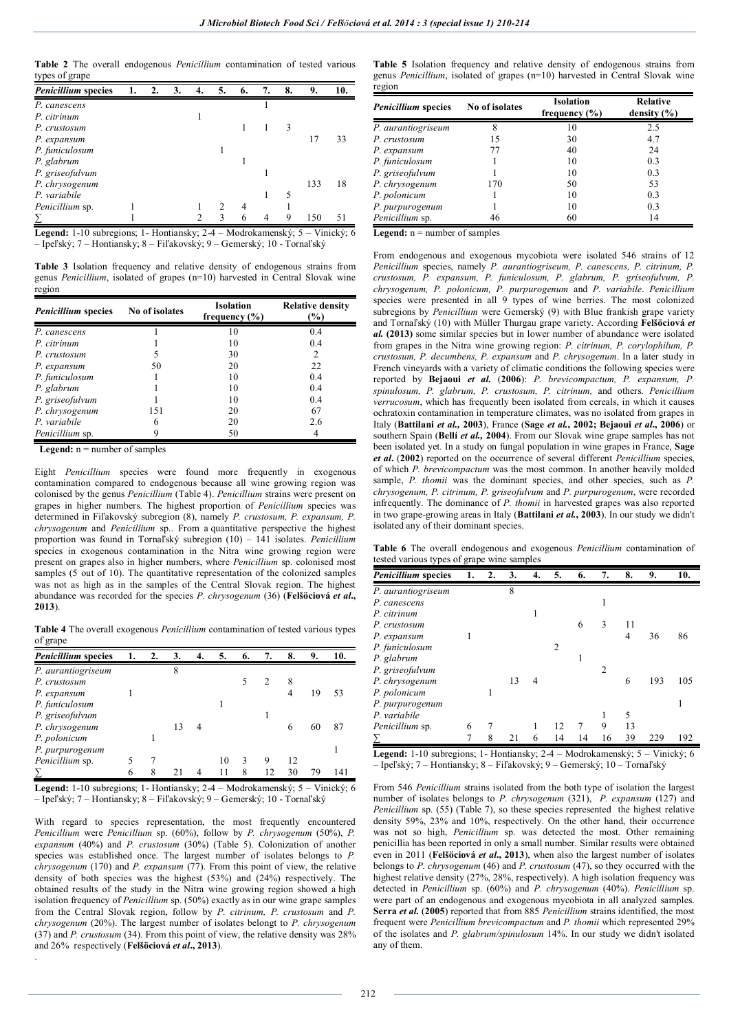**Table 2** The overall endogenous *Penicillium* contamination of tested various types of grape

| <b>Penicillium</b> species | 1. | 2. | 3. | 4. | 5.            | 6. | 7. | 8. | 9.  | 10. |
|----------------------------|----|----|----|----|---------------|----|----|----|-----|-----|
| P. canescens               |    |    |    |    |               |    |    |    |     |     |
| P. citrinum                |    |    |    |    |               |    |    |    |     |     |
| P. crustosum               |    |    |    |    |               |    |    | 3  |     |     |
| P. expansum                |    |    |    |    |               |    |    |    | 17  | 33  |
| P. funiculosum             |    |    |    |    |               |    |    |    |     |     |
| P. glabrum                 |    |    |    |    |               |    |    |    |     |     |
| P. griseofulvum            |    |    |    |    |               |    |    |    |     |     |
| P. chrysogenum             |    |    |    |    |               |    |    |    | 133 | 18  |
| P. variabile               |    |    |    |    |               |    |    | 5  |     |     |
| Penicillium sp.            |    |    |    |    | $\mathcal{P}$ |    |    |    |     |     |
|                            |    |    |    |    |               |    | 4  | Q  | 150 | 51  |

**Legend:** 1-10 subregions; 1- Hontiansky; 2-4 – Modrokamenský; 5 – Vinický; 6 – Ipeľský; 7 – Hontiansky; 8 – Fiľakovský; 9 – Gemerský; 10 - Tornaľský

**Table 3** Isolation frequency and relative density of endogenous strains from genus *Penicillium*, isolated of grapes (n=10) harvested in Central Slovak wine region

| <b>Penicillium</b> species | No of isolates | <b>Isolation</b><br>frequency $(\% )$ | <b>Relative density</b><br>(%) |
|----------------------------|----------------|---------------------------------------|--------------------------------|
| P. canescens               |                | 10                                    | 0.4                            |
| P. citrinum                |                | 10                                    | 0.4                            |
| P. crustosum               |                | 30                                    | 2                              |
| P. expansum                | 50             | 20                                    | 22                             |
| P. funiculosum             |                | 10                                    | 0.4                            |
| P. glabrum                 |                | 10                                    | 0.4                            |
| P. griseofulvum            |                | 10                                    | 0.4                            |
| P. chrysogenum             | 151            | 20                                    | 67                             |
| P. variabile               | 6              | 20                                    | 2.6                            |
| Penicillium sp.            | Q              | 50                                    |                                |

Legend:  $n =$  number of samples

.

Eight *Penicillium* species were found more frequently in exogenous contamination compared to endogenous because all wine growing region was colonised by the genus *Penicillium* (Table 4). *Penicillium* strains were present on grapes in higher numbers. The highest proportion of *Penicillium* species was determined in Fiľakovský subregion (8), namely *P. crustosum, P. expansum, P. chrysogenum* and *Penicillium* sp.. From a quantitative perspective the highest proportion was found in Tornaľský subregion (10) – 141 isolates. *Penicillium*  species in exogenous contamination in the Nitra wine growing region were present on grapes also in higher numbers, where *Penicillium* sp. colonised most samples (5 out of 10). The quantitative representation of the colonized samples was not as high as in the samples of the Central Slovak region. The highest abundance was recorded for the species *P. chrysogenum* (36) (**Felšöciová** *et al***., 2013**).

**Table 4** The overall exogenous *Penicillium* contamination of tested various types of grape

| <b>Penicillium</b> species | 1. | 2. | 3. | 4. | 5. | 6. | 7. | 8. | 9. | 10. |
|----------------------------|----|----|----|----|----|----|----|----|----|-----|
| P. aurantiogriseum         |    |    | 8  |    |    |    |    |    |    |     |
| P. crustosum               |    |    |    |    |    |    |    | 8  |    |     |
| P. expansum                |    |    |    |    |    |    |    |    | 19 | 53  |
| P. funiculosum             |    |    |    |    |    |    |    |    |    |     |
| P. griseofulvum            |    |    |    |    |    |    |    |    |    |     |
| P. chrysogenum             |    |    |    |    |    |    |    | 6  | 60 | 87  |
| P. polonicum               |    |    |    |    |    |    |    |    |    |     |
| P. purpurogenum            |    |    |    |    |    |    |    |    |    |     |
| Penicillium sp.            |    |    |    |    | 10 |    | 9  | 12 |    |     |
|                            | 6  | 8  |    |    |    | 8  | 12 | 30 | 79 |     |

**Legend:** 1-10 subregions; 1- Hontiansky; 2-4 – Modrokamenský; 5 – Vinický; 6 – Ipeľský; 7 – Hontiansky; 8 – Fiľakovský; 9 – Gemerský; 10 - Tornaľský

With regard to species representation, the most frequently encountered *Penicillium* were *Penicillium* sp. (60%), follow by *P. chrysogenum* (50%), *P. expansum* (40%) and *P. crustosum* (30%) (Table 5). Colonization of another species was established once. The largest number of isolates belongs to *P. chrysogenum* (170) and *P. expansum* (77). From this point of view, the relative density of both species was the highest (53%) and (24%) respectively. The obtained results of the study in the Nitra wine growing region showed a high isolation frequency of *Penicillium* sp. (50%) exactly as in our wine grape samples from the Central Slovak region, follow by *P. citrinum, P. crustosum* and *P. chrysogenum* (20%). The largest number of isolates belongt to *P. chrysogenum* (37) and *P. crustosum* (34). From this point of view, the relative density was 28% and 26% respectively (**Felšöciová** *et al***., 2013**).

**Table 5** Isolation frequency and relative density of endogenous strains from genus *Penicillium*, isolated of grapes (n=10) harvested in Central Slovak wine region

| <b>Penicillium</b> species | No of isolates | Isolation<br>frequency $(\% )$ | <b>Relative</b><br>density $(\% )$ |
|----------------------------|----------------|--------------------------------|------------------------------------|
| P. aurantiogriseum         | 8              | 10                             | 2.5                                |
| P. crustosum               | 15             | 30                             | 4.7                                |
| P. expansum                | 77             | 40                             | 24                                 |
| P. funiculosum             |                | 10                             | 0.3                                |
| P. griseofulvum            |                | 10                             | 0.3                                |
| P. chrysogenum             | 170            | 50                             | 53                                 |
| P. polonicum               |                | 10                             | 0.3                                |
| P. purpurogenum            |                | 10                             | 0.3                                |
| Penicillium sp.            | 46             | 60                             | 14                                 |

Legend:  $n =$  number of samples

From endogenous and exogenous mycobiota were isolated 546 strains of 12 *Penicillium* species, namely *P. aurantiogriseum, P. canescens, P. citrinum, P. crustosum, P. expansum, P. funiculosum, P. glabrum, P. griseofulvum, P. chrysogenum, P. polonicum, P. purpurogenum* and *P. variabile*. *Penicillium* species were presented in all 9 types of wine berries. The most colonized subregions by *Penicillium* were Gemerský (9) with Blue frankish grape variety and Tornaľský (10) with Müller Thurgau grape variety. According **Felšöciová** *et al.* **(2013)** some similar species but in lower number of abundance were isolated from grapes in the Nitra wine growing region: *P. citrinum, P. corylophilum, P. crustosum, P. decumbens, P. expansum* and *P. chrysogenum*. In a later study in French vineyards with a variety of climatic conditions the following species were reported by **Bejaoui** *et al.* (**2006**): *P. brevicompactum, P. expansum, P. spinulosum, P. glabrum, P. crustosum, P. citrinum,* and others. *Penicillium verrucosum*, which has frequently been isolated from cereals, in which it causes ochratoxin contamination in temperature climates, was no isolated from grapes in Italy (**Battilani** *et al.,* **2003**), France (**Sage** *et al.***, 2002; Bejaoui** *et al***., 2006**) or southern Spain (**Bellí** *et al.,* **2004**). From our Slovak wine grape samples has not been isolated yet. In a study on fungal population in wine grapes in France, **Sage**  *et al***.** (**2002**) reported on the occurrence of several different *Penicillium* species, of which *P. brevicompactum* was the most common. In another heavily molded sample, *P. thomii* was the dominant species, and other species, such as *P. chrysogenum, P. citrinum, P. griseofulvum* and *P. purpurogenum*, were recorded infrequently. The dominance of *P. thomii* in harvested grapes was also reported in two grape-growing areas in Italy (**Battilani** *et al.***, 2003**). In our study we didn't isolated any of their dominant species.

**Table 6** The overall endogenous and exogenous *Penicillium* contamination of tested various types of grape wine samples

| <b>Penicillium</b> species | 1. | $\overline{2}$ . | 3. | 4. | 5. | 6. | 7.             | 8. | 9.  | 10. |
|----------------------------|----|------------------|----|----|----|----|----------------|----|-----|-----|
| P. aurantiogriseum         |    |                  | 8  |    |    |    |                |    |     |     |
| P. canescens               |    |                  |    |    |    |    |                |    |     |     |
| P. citrinum                |    |                  |    |    |    |    |                |    |     |     |
| P. crustosum               |    |                  |    |    |    | 6  | 3              |    |     |     |
| P. expansum                |    |                  |    |    |    |    |                | 4  | 36  | 86  |
| P. funiculosum             |    |                  |    |    | 2  |    |                |    |     |     |
| P. glabrum                 |    |                  |    |    |    |    |                |    |     |     |
| P. griseofulvum            |    |                  |    |    |    |    | $\overline{c}$ |    |     |     |
| P. chrysogenum             |    |                  | 13 | 4  |    |    |                | 6  | 193 | 105 |
| P. polonicum               |    |                  |    |    |    |    |                |    |     |     |
| P. purpurogenum            |    |                  |    |    |    |    |                |    |     |     |
| P. variabile               |    |                  |    |    |    |    |                | 5  |     |     |
| Penicillium sp.            | 6  |                  |    |    | 12 |    | 9              | 13 |     |     |
|                            | 7  | 8                | 21 | 6  | 14 | 14 | 16             | 39 | 229 | 192 |

**Legend:** 1-10 subregions; 1- Hontiansky; 2-4 – Modrokamenský; 5 – Vinický; 6 – Ipeľský; 7 – Hontiansky; 8 – Fiľakovský; 9 – Gemerský; 10 – Tornaľský

From 546 *Penicillium* strains isolated from the both type of isolation the largest number of isolates belongs to *P. chrysogenum* (321), *P. expansum* (127) and *Penicillium* sp. (55) (Table 7), so these species represented the highest relative density 59%, 23% and 10%, respectively. On the other hand, their occurrence was not so high, *Penicillium* sp. was detected the most. Other remaining penicillia has been reported in only a small number. Similar results were obtained even in 2011 (**Felšöciová** *et al***., 2013**), when also the largest number of isolates belongs to *P. chrysogenum* (46) and *P. crustosum* (47), so they occurred with the highest relative density (27%, 28%, respectively). A high isolation frequency was detected in *Penicillium* sp. (60%) and *P. chrysogenum* (40%). *Penicillium* sp. were part of an endogenous and exogenous mycobiota in all analyzed samples. **Serra** *et al.* (**2005**) reported that from 885 *Penicillium* strains identified, the most frequent were *Penicillium brevicompactum* and *P. thomii* which represented 29% of the isolates and *P. glabrum/spinulosum* 14%. In our study we didn't isolated any of them.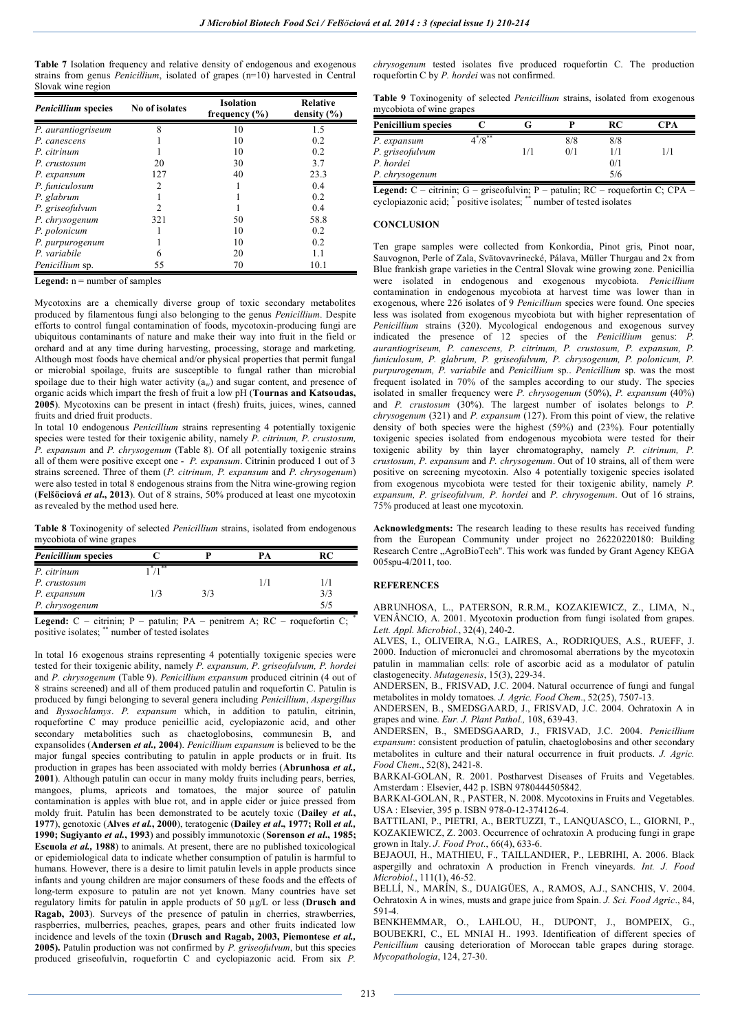**Table 7** Isolation frequency and relative density of endogenous and exogenous strains from genus *Penicillium*, isolated of grapes (n=10) harvested in Central Slovak wine region

| <b>Penicillium</b> species | No of isolates | <b>Isolation</b><br>frequency $(\% )$ | <b>Relative</b><br>density $(\% )$ |
|----------------------------|----------------|---------------------------------------|------------------------------------|
| P. aurantiogriseum         | 8              | 10                                    | 1.5                                |
| P. canescens               |                | 10                                    | 0.2                                |
| P. citrinum                |                | 10                                    | 0.2                                |
| P. crustosum               | 20             | 30                                    | 3.7                                |
| P. expansum                | 127            | 40                                    | 23.3                               |
| P. funiculosum             | $\overline{c}$ |                                       | 0.4                                |
| P. glabrum                 |                |                                       | 0.2                                |
| P. griseofulvum            | $\overline{c}$ |                                       | 0.4                                |
| P. chrysogenum             | 321            | 50                                    | 58.8                               |
| P. polonicum               |                | 10                                    | 0.2                                |
| P. purpurogenum            |                | 10                                    | 0.2                                |
| P. variabile               | 6              | 20                                    | 1.1                                |
| <i>Penicillium</i> sp.     | 55             | 70                                    | 10.1                               |

Legend:  $n =$  number of samples

Mycotoxins are a chemically diverse group of toxic secondary metabolites produced by filamentous fungi also belonging to the genus *Penicillium*. Despite efforts to control fungal contamination of foods, mycotoxin-producing fungi are ubiquitous contaminants of nature and make their way into fruit in the field or orchard and at any time during harvesting, processing, storage and marketing. Although most foods have chemical and/or physical properties that permit fungal or microbial spoilage, fruits are susceptible to fungal rather than microbial spoilage due to their high water activity  $(a_w)$  and sugar content, and presence of organic acids which impart the fresh of fruit a low pH (**Tournas and Katsoudas, 2005**). Mycotoxins can be present in intact (fresh) fruits, juices, wines, canned fruits and dried fruit products.

In total 10 endogenous *Penicillium* strains representing 4 potentially toxigenic species were tested for their toxigenic ability, namely *P. citrinum, P. crustosum, P. expansum* and *P. chrysogenum* (Table 8). Of all potentially toxigenic strains all of them were positive except one - *P. expansum*. Citrinin produced 1 out of 3 strains screened. Three of them (*P. citrinum, P. expansum* and *P. chrysogenum*) were also tested in total 8 endogenous strains from the Nitra wine-growing region (**Felšöciová** *et al***., 2013**). Out of 8 strains, 50% produced at least one mycotoxin as revealed by the method used here.

**Table 8** Toxinogenity of selected *Penicillium* strains, isolated from endogenous mycobiota of wine grapes

| <b>Penicillium</b> species |          |     | PА | RC  |
|----------------------------|----------|-----|----|-----|
| P. citrinum                | ∹ , ≅≭ ∶ |     |    |     |
| P. crustosum               |          |     |    | 1/1 |
| P. expansum                | 1/3      | 3/3 |    | 3/3 |
| P. chrysogenum             |          |     |    | 5/5 |
|                            |          |     |    |     |

**Legend:**  $C$  – citrinin;  $P$  – patulin;  $PA$  – penitrem A;  $RC$  – roquefortin  $C$ ; positive isolates; \*\* number of tested isolates

In total 16 exogenous strains representing 4 potentially toxigenic species were tested for their toxigenic ability, namely *P. expansum, P. griseofulvum, P. hordei* and *P. chrysogenum* (Table 9). *Penicillium expansum* produced citrinin (4 out of 8 strains screened) and all of them produced patulin and roquefortin C. Patulin is produced by fungi belonging to several genera including *Penicillium*, *Aspergillus* and *Byssochlamys*. *P. expansum* which, in addition to patulin, citrinin, roquefortine C may produce penicillic acid, cyclopiazonic acid, and other secondary metabolities such as chaetoglobosins, communesin B, and expansolides (**Andersen** *et al.,* **2004**). *Penicillium expansum* is believed to be the major fungal species contributing to patulin in apple products or in fruit. Its production in grapes has been associated with moldy berries (**Abrunhosa** *et al.,* **2001**). Although patulin can occur in many moldy fruits including pears, berries, mangoes, plums, apricots and tomatoes, the major source of patulin contamination is apples with blue rot, and in apple cider or juice pressed from moldy fruit. Patulin has been demonstrated to be acutely toxic (**Dailey** *et al.***, 1977**), genotoxic (**Alves** *et al.***, 2000**), teratogenic (**Dailey** *et al***., 1977; Roll** *et al.,* **1990; Sugiyanto** *et al.***, 1993**) and possibly immunotoxic (**Sorenson** *et al***., 1985; Escuola** *et al.,* **1988**) to animals. At present, there are no published toxicological or epidemiological data to indicate whether consumption of patulin is harmful to humans. However, there is a desire to limit patulin levels in apple products since infants and young children are major consumers of these foods and the effects of long-term exposure to patulin are not yet known. Many countries have set regulatory limits for patulin in apple products of 50 µg/L or less (**Drusch and Ragab, 2003**). Surveys of the presence of patulin in cherries, strawberries, raspberries, mulberries, peaches, grapes, pears and other fruits indicated low incidence and levels of the toxin (**Drusch and Ragab, 2003, Piemontese** *et al.,* **2005).** Patulin production was not confirmed by *P. griseofulvum*, but this species produced griseofulvin, roquefortin C and cyclopiazonic acid. From six *P.* 

*chrysogenum* tested isolates five produced roquefortin C. The production roquefortin C by *P. hordei* was not confirmed.

**Table 9** Toxinogenity of selected *Penicillium* strains, isolated from exogenous mycobiota of wine grapes

| <b>Penicillium species</b> |         |     | RC  | ™PA |
|----------------------------|---------|-----|-----|-----|
| P. expansum                | $/8***$ | 8/8 | 8/8 |     |
| P. griseofulvum            |         | 0/1 | 1/1 |     |
| P. hordei                  |         |     | 0/1 |     |
| P. chrysogenum             |         |     | 5/6 |     |

**Legend:** C – citrinin; G – griseofulvin; P – patulin; RC – roquefortin C; CPA – cyclopiazonic acid; \* positive isolates; \*\* number of tested isolates

## **CONCLUSION**

Ten grape samples were collected from Konkordia, Pinot gris, Pinot noar, Sauvognon, Perle of Zala, Svätovavrinecké, Pálava, Müller Thurgau and 2x from Blue frankish grape varieties in the Central Slovak wine growing zone. Penicillia were isolated in endogenous and exogenous mycobiota. *Penicillium*  contamination in endogenous mycobiota at harvest time was lower than in exogenous, where 226 isolates of 9 *Penicillium* species were found. One species less was isolated from exogenous mycobiota but with higher representation of *Penicillium* strains (320). Mycological endogenous and exogenous survey indicated the presence of 12 species of the *Penicillium* genus: *P. aurantiogriseum, P. canescens, P. citrinum, P. crustosum, P. expansum, P. funiculosum, P. glabrum, P. griseofulvum, P. chrysogenum, P. polonicum, P. purpurogenum, P. variabile* and *Penicillium* sp.. *Penicillium* sp. was the most frequent isolated in 70% of the samples according to our study. The species isolated in smaller frequency were *P. chrysogenum* (50%), *P. expansum* (40%) and *P. crustosum* (30%). The largest number of isolates belongs to *P. chrysogenum* (321) and *P. expansum* (127). From this point of view, the relative density of both species were the highest (59%) and (23%). Four potentially toxigenic species isolated from endogenous mycobiota were tested for their toxigenic ability by thin layer chromatography, namely *P. citrinum, P. crustosum, P. expansum* and *P. chrysogenum*. Out of 10 strains, all of them were positive on screening mycotoxin. Also 4 potentially toxigenic species isolated from exogenous mycobiota were tested for their toxigenic ability, namely *P. expansum, P. griseofulvum, P. hordei* and *P. chrysogenum*. Out of 16 strains, 75% produced at least one mycotoxin.

**Acknowledgments:** The research leading to these results has received funding from the European Community under project no 26220220180: Building Research Centre "AgroBioTech". This work was funded by Grant Agency KEGA 005spu-4/2011, too.

## **REFERENCES**

ABRUNHOSA, L., PATERSON, R.R.M., KOZAKIEWICZ, Z., LIMA, N., VENÂNCIO, A. 2001. Mycotoxin production from fungi isolated from grapes. *Lett. Appl. Microbiol.*, 32(4), 240-2.

ALVES, I., OLIVEIRA, N.G., LAIRES, A., RODRIQUES, A.S., RUEFF, J. 2000. Induction of micronuclei and chromosomal aberrations by the mycotoxin patulin in mammalian cells: role of ascorbic acid as a modulator of patulin clastogenecity. *Mutagenesis*, 15(3), 229-34.

ANDERSEN, B., FRISVAD, J.C. 2004. Natural occurrence of fungi and fungal metabolites in moldy tomatoes. *J. Agric. Food Chem*., 52(25), 7507-13.

ANDERSEN, B., SMEDSGAARD, J., FRISVAD, J.C. 2004. Ochratoxin A in grapes and wine. *Eur. J. Plant Pathol.,* 108, 639-43.

ANDERSEN, B., SMEDSGAARD, J., FRISVAD, J.C. 2004. *Penicillium expansum*: consistent production of patulin, chaetoglobosins and other secondary metabolites in culture and their natural occurrence in fruit products. *J. Agric. Food Chem*., 52(8), 2421-8.

BARKAI-GOLAN, R. 2001. Postharvest Diseases of Fruits and Vegetables. Amsterdam : Elsevier, 442 p. ISBN 9780444505842.

BARKAI-GOLAN, R., PASTER, N. 2008. Mycotoxins in Fruits and Vegetables. USA : Elsevier, 395 p. ISBN 978-0-12-374126-4.

BATTILANI, P., PIETRI, A., BERTUZZI, T., LANQUASCO, L., GIORNI, P., KOZAKIEWICZ, Z. 2003. Occurrence of ochratoxin A producing fungi in grape grown in Italy. *J. Food Prot*., 66(4), 633-6.

BEJAOUI, H., MATHIEU, F., TAILLANDIER, P., LEBRIHI, A. 2006. Black aspergilly and ochratoxin A production in French vineyards. *Int. J. Food Microbiol*., 111(1), 46-52.

BELLÍ, N., MARÍN, S., DUAIGÜES, A., RAMOS, A.J., SANCHIS, V. 2004. Ochratoxin A in wines, musts and grape juice from Spain. *J. Sci. Food Agric*., 84, 591-4.

BENKHEMMAR, O., LAHLOU, H., DUPONT, J., BOMPEIX, G., BOUBEKRI, C., EL MNIAI H.. 1993. Identification of different species of *Penicillium* causing deterioration of Moroccan table grapes during storage. *Mycopathologia*, 124, 27-30.